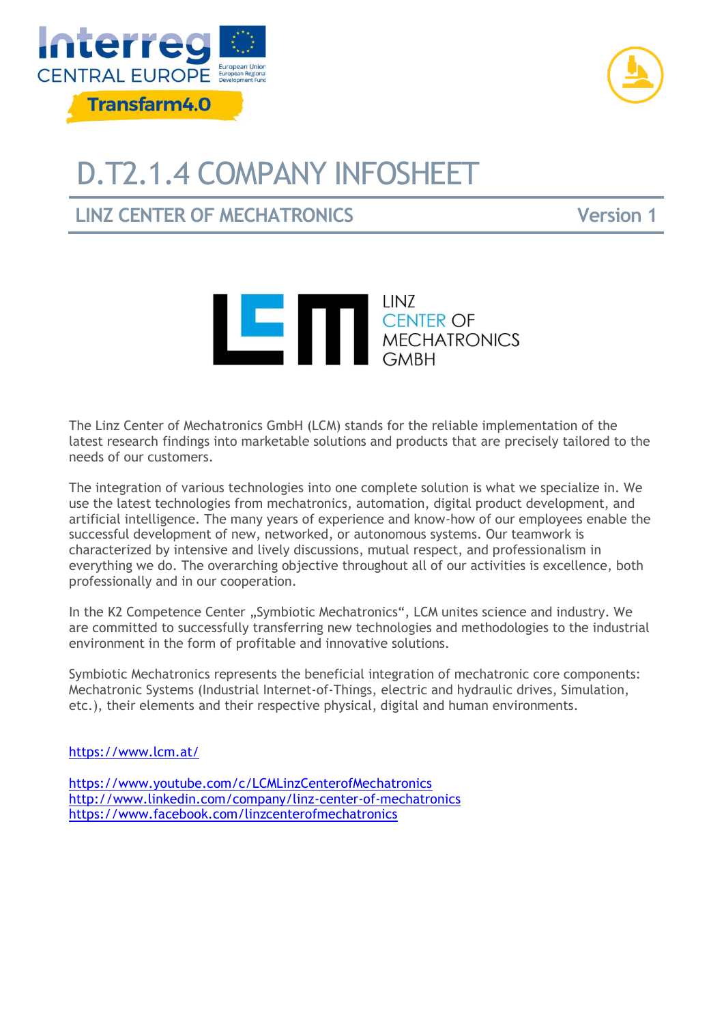



## D.T2.1.4 COMPANY INFOSHEET

**LINZ CENTER OF MECHATRONICS Version 1**



The Linz Center of Mechatronics GmbH (LCM) stands for the reliable implementation of the latest research findings into marketable solutions and products that are precisely tailored to the needs of our customers.

The integration of various technologies into one complete solution is what we specialize in. We use the latest technologies from mechatronics, automation, digital product development, and artificial intelligence. The many years of experience and know-how of our employees enable the successful development of new, networked, or autonomous systems. Our teamwork is characterized by intensive and lively discussions, mutual respect, and professionalism in everything we do. The overarching objective throughout all of our activities is excellence, both professionally and in our cooperation.

In the K2 Competence Center "Symbiotic Mechatronics", LCM unites science and industry. We are committed to successfully transferring new technologies and methodologies to the industrial environment in the form of profitable and innovative solutions.

Symbiotic Mechatronics represents the beneficial integration of mechatronic core components: Mechatronic Systems (Industrial Internet-of-Things, electric and hydraulic drives, Simulation, etc.), their elements and their respective physical, digital and human environments.

<https://www.lcm.at/>

<https://www.youtube.com/c/LCMLinzCenterofMechatronics> <http://www.linkedin.com/company/linz-center-of-mechatronics> <https://www.facebook.com/linzcenterofmechatronics>